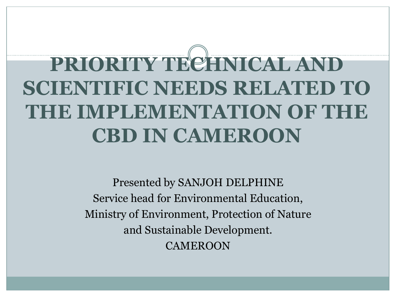# **PRIORITY TECHNICAL AND SCIENTIFIC NEEDS RELATED TO THE IMPLEMENTATION OF THE CBD IN CAMEROON**

Presented by SANJOH DELPHINE Service head for Environmental Education, Ministry of Environment, Protection of Nature and Sustainable Development. **CAMEROON**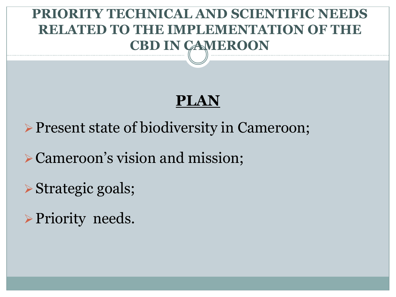## **PRIORITY TECHNICAL AND SCIENTIFIC NEEDS RELATED TO THE IMPLEMENTATION OF THE CBD IN CAMEROON**

## **PLAN**

**Present state of biodiversity in Cameroon;** 

Cameroon's vision and mission;

**≻Strategic goals;** 

▶ Priority needs.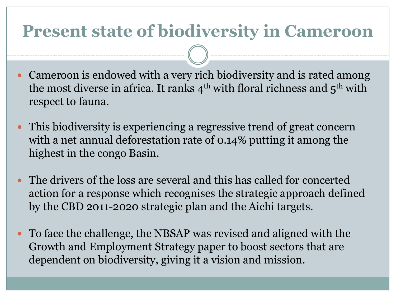## **Present state of biodiversity in Cameroon**

- Cameroon is endowed with a very rich biodiversity and is rated among the most diverse in africa. It ranks  $4<sup>th</sup>$  with floral richness and  $5<sup>th</sup>$  with respect to fauna.
- This biodiversity is experiencing a regressive trend of great concern with a net annual deforestation rate of 0.14% putting it among the highest in the congo Basin.
- The drivers of the loss are several and this has called for concerted action for a response which recognises the strategic approach defined by the CBD 2011-2020 strategic plan and the Aichi targets.
- To face the challenge, the NBSAP was revised and aligned with the Growth and Employment Strategy paper to boost sectors that are dependent on biodiversity, giving it a vision and mission.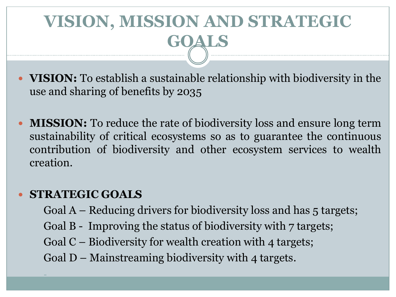## **VISION, MISSION AND STRATEGIC GOALS**

- **VISION:** To establish a sustainable relationship with biodiversity in the use and sharing of benefits by 2035
- **MISSION:** To reduce the rate of biodiversity loss and ensure long term sustainability of critical ecosystems so as to guarantee the continuous contribution of biodiversity and other ecosystem services to wealth creation.

#### **STRATEGIC GOALS**

-

Goal  $A$  – Reducing drivers for biodiversity loss and has 5 targets; Goal B - Improving the status of biodiversity with 7 targets; Goal C – Biodiversity for wealth creation with 4 targets; Goal  $D$  – Mainstreaming biodiversity with 4 targets.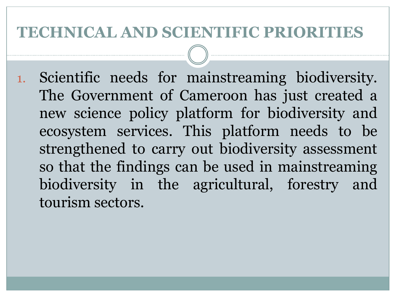### **TECHNICAL AND SCIENTIFIC PRIORITIES**

1. Scientific needs for mainstreaming biodiversity. The Government of Cameroon has just created a new science policy platform for biodiversity and ecosystem services. This platform needs to be strengthened to carry out biodiversity assessment so that the findings can be used in mainstreaming biodiversity in the agricultural, forestry and tourism sectors.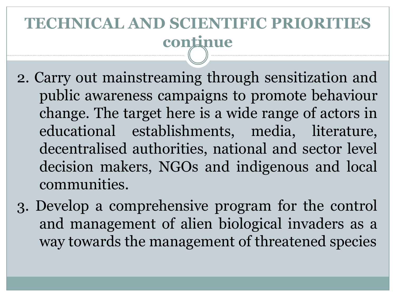## **TECHNICAL AND SCIENTIFIC PRIORITIES continue**

- 2. Carry out mainstreaming through sensitization and public awareness campaigns to promote behaviour change. The target here is a wide range of actors in educational establishments, media, literature, decentralised authorities, national and sector level decision makers, NGOs and indigenous and local communities.
- 3. Develop a comprehensive program for the control and management of alien biological invaders as a way towards the management of threatened species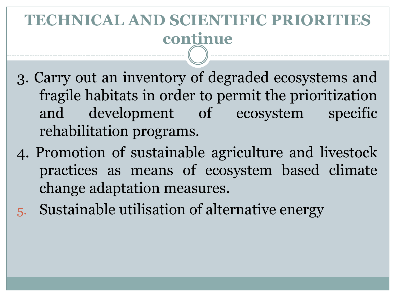## **TECHNICAL AND SCIENTIFIC PRIORITIES continue**

- 3. Carry out an inventory of degraded ecosystems and fragile habitats in order to permit the prioritization and development of ecosystem specific rehabilitation programs.
- 4. Promotion of sustainable agriculture and livestock practices as means of ecosystem based climate change adaptation measures.
- 5. Sustainable utilisation of alternative energy